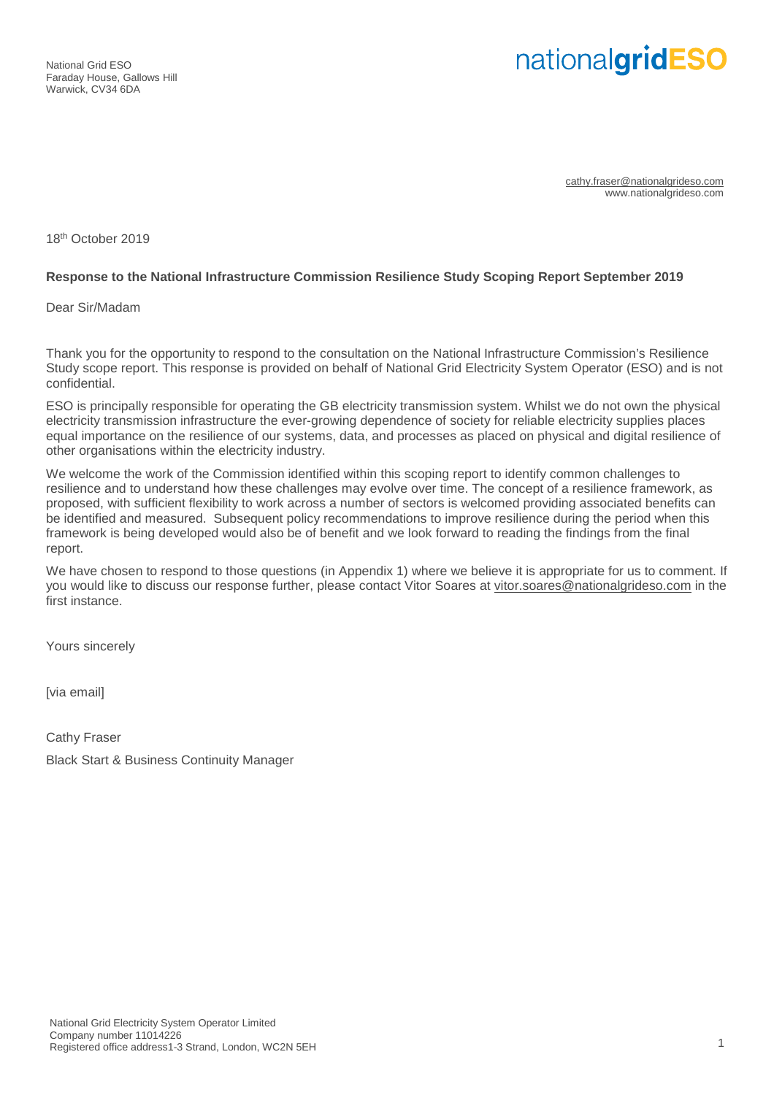National Grid ESO Faraday House, Gallows Hill Warwick, CV34 6DA

# nationalgridESO

cathy.fraser@nationalgrideso.com www.nationalgrideso.com

18th October 2019

#### **Response to the National Infrastructure Commission Resilience Study Scoping Report September 2019**

Dear Sir/Madam

Thank you for the opportunity to respond to the consultation on the National Infrastructure Commission's Resilience Study scope report. This response is provided on behalf of National Grid Electricity System Operator (ESO) and is not confidential.

ESO is principally responsible for operating the GB electricity transmission system. Whilst we do not own the physical electricity transmission infrastructure the ever-growing dependence of society for reliable electricity supplies places equal importance on the resilience of our systems, data, and processes as placed on physical and digital resilience of other organisations within the electricity industry.

We welcome the work of the Commission identified within this scoping report to identify common challenges to resilience and to understand how these challenges may evolve over time. The concept of a resilience framework, as proposed, with sufficient flexibility to work across a number of sectors is welcomed providing associated benefits can be identified and measured. Subsequent policy recommendations to improve resilience during the period when this framework is being developed would also be of benefit and we look forward to reading the findings from the final report.

We have chosen to respond to those questions (in Appendix 1) where we believe it is appropriate for us to comment. If you would like to discuss our response further, please contact Vitor Soares at vitor.soares@nationalgrideso.com in the first instance.

Yours sincerely

[via email]

Cathy Fraser Black Start & Business Continuity Manager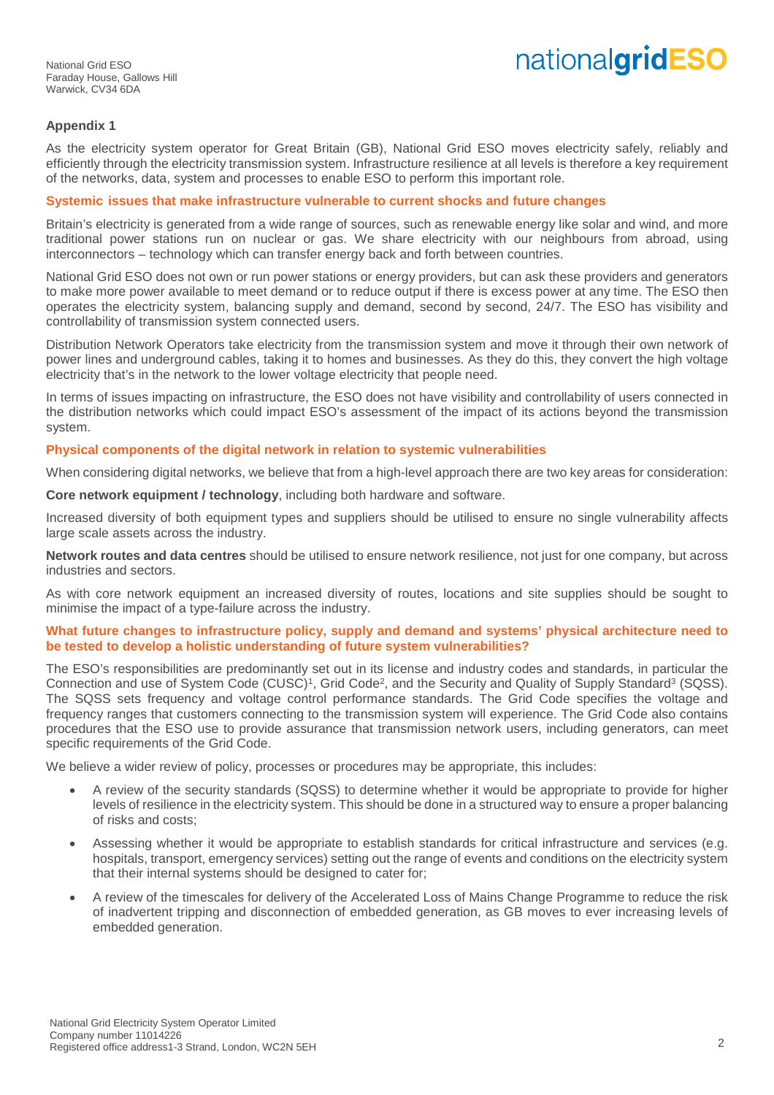## nationalgridESO

## **Appendix 1**

As the electricity system operator for Great Britain (GB), National Grid ESO moves electricity safely, reliably and efficiently through the electricity transmission system. Infrastructure resilience at all levels is therefore a key requirement of the networks, data, system and processes to enable ESO to perform this important role.

#### **Systemic issues that make infrastructure vulnerable to current shocks and future changes**

Britain's electricity is generated from a wide range of sources, such as renewable energy like solar and wind, and more traditional power stations run on nuclear or gas. We share electricity with our neighbours from abroad, using interconnectors – technology which can transfer energy back and forth between countries.

National Grid ESO does not own or run power stations or energy providers, but can ask these providers and generators to make more power available to meet demand or to reduce output if there is excess power at any time. The ESO then operates the electricity system, balancing supply and demand, second by second, 24/7. The ESO has visibility and controllability of transmission system connected users.

Distribution Network Operators take electricity from the transmission system and move it through their own network of power lines and underground cables, taking it to homes and businesses. As they do this, they convert the high voltage electricity that's in the network to the lower voltage electricity that people need.

In terms of issues impacting on infrastructure, the ESO does not have visibility and controllability of users connected in the distribution networks which could impact ESO's assessment of the impact of its actions beyond the transmission system.

#### **Physical components of the digital network in relation to systemic vulnerabilities**

When considering digital networks, we believe that from a high-level approach there are two key areas for consideration:

**Core network equipment / technology**, including both hardware and software.

Increased diversity of both equipment types and suppliers should be utilised to ensure no single vulnerability affects large scale assets across the industry.

**Network routes and data centres** should be utilised to ensure network resilience, not just for one company, but across industries and sectors.

As with core network equipment an increased diversity of routes, locations and site supplies should be sought to minimise the impact of a type-failure across the industry.

#### **What future changes to infrastructure policy, supply and demand and systems' physical architecture need to be tested to develop a holistic understanding of future system vulnerabilities?**

The ESO's responsibilities are predominantly set out in its license and industry codes and standards, in particular the Connection and use of System Code (CUSC)<sup>1</sup>, Grid Code<sup>2</sup>, and the Security and Quality of Supply Standard<sup>3</sup> (SQSS). The SQSS sets frequency and voltage control performance standards. The Grid Code specifies the voltage and frequency ranges that customers connecting to the transmission system will experience. The Grid Code also contains procedures that the ESO use to provide assurance that transmission network users, including generators, can meet specific requirements of the Grid Code.

We believe a wider review of policy, processes or procedures may be appropriate, this includes:

- A review of the security standards (SQSS) to determine whether it would be appropriate to provide for higher levels of resilience in the electricity system. This should be done in a structured way to ensure a proper balancing of risks and costs;
- Assessing whether it would be appropriate to establish standards for critical infrastructure and services (e.g. hospitals, transport, emergency services) setting out the range of events and conditions on the electricity system that their internal systems should be designed to cater for;
- A review of the timescales for delivery of the Accelerated Loss of Mains Change Programme to reduce the risk of inadvertent tripping and disconnection of embedded generation, as GB moves to ever increasing levels of embedded generation.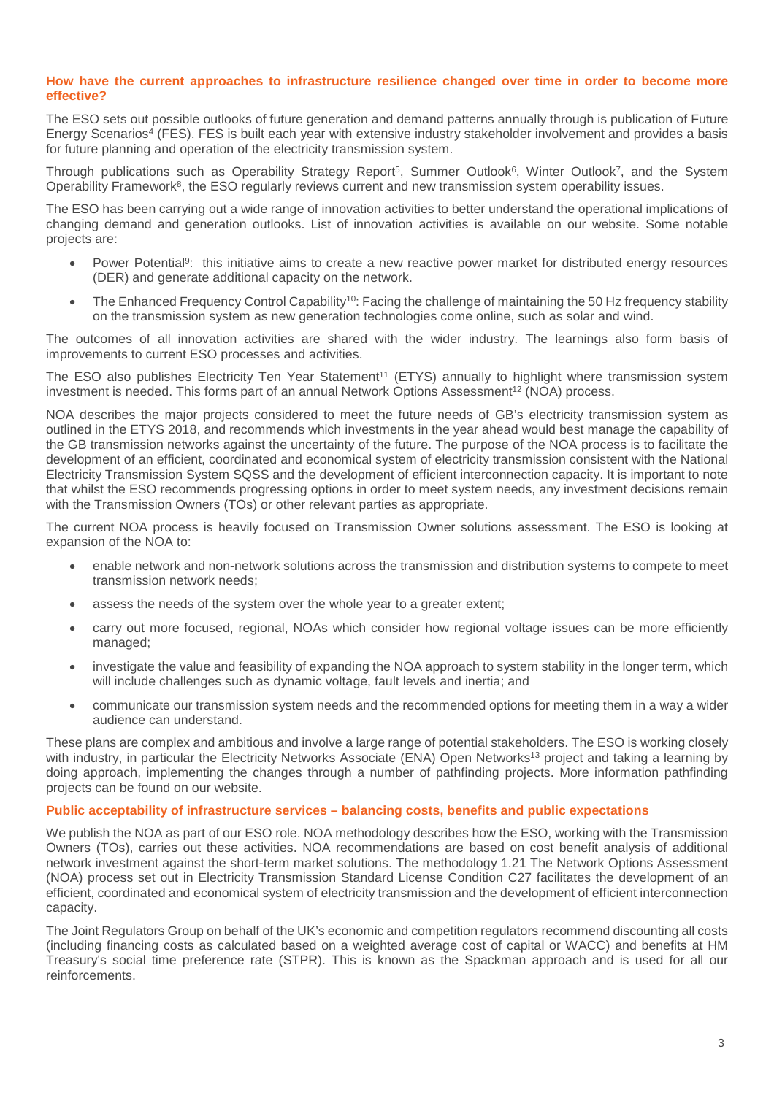#### **How have the current approaches to infrastructure resilience changed over time in order to become more effective?**

The ESO sets out possible outlooks of future generation and demand patterns annually through is publication of Future Energy Scenarios<sup>4</sup> (FES). FES is built each year with extensive industry stakeholder involvement and provides a basis for future planning and operation of the electricity transmission system.

Through publications such as Operability Strategy Report<sup>5</sup>, Summer Outlook<sup>6</sup>, Winter Outlook<sup>7</sup>, and the System Operability Framework<sup>8</sup>, the ESO regularly reviews current and new transmission system operability issues.

The ESO has been carrying out a wide range of innovation activities to better understand the operational implications of changing demand and generation outlooks. List of innovation activities is available on our website. Some notable projects are:

- Power Potential<sup>9</sup>: this initiative aims to create a new reactive power market for distributed energy resources (DER) and generate additional capacity on the network.
- The Enhanced Frequency Control Capability<sup>10</sup>: Facing the challenge of maintaining the 50 Hz frequency stability on the transmission system as new generation technologies come online, such as solar and wind.

The outcomes of all innovation activities are shared with the wider industry. The learnings also form basis of improvements to current ESO processes and activities.

The ESO also publishes Electricity Ten Year Statement<sup>11</sup> (ETYS) annually to highlight where transmission system investment is needed. This forms part of an annual Network Options Assessment<sup>12</sup> (NOA) process.

NOA describes the major projects considered to meet the future needs of GB's electricity transmission system as outlined in the ETYS 2018, and recommends which investments in the year ahead would best manage the capability of the GB transmission networks against the uncertainty of the future. The purpose of the NOA process is to facilitate the development of an efficient, coordinated and economical system of electricity transmission consistent with the National Electricity Transmission System SQSS and the development of efficient interconnection capacity. It is important to note that whilst the ESO recommends progressing options in order to meet system needs, any investment decisions remain with the Transmission Owners (TOs) or other relevant parties as appropriate.

The current NOA process is heavily focused on Transmission Owner solutions assessment. The ESO is looking at expansion of the NOA to:

- enable network and non-network solutions across the transmission and distribution systems to compete to meet transmission network needs;
- assess the needs of the system over the whole year to a greater extent;
- carry out more focused, regional, NOAs which consider how regional voltage issues can be more efficiently managed;
- investigate the value and feasibility of expanding the NOA approach to system stability in the longer term, which will include challenges such as dynamic voltage, fault levels and inertia; and
- communicate our transmission system needs and the recommended options for meeting them in a way a wider audience can understand.

These plans are complex and ambitious and involve a large range of potential stakeholders. The ESO is working closely with industry, in particular the Electricity Networks Associate (ENA) Open Networks<sup>13</sup> project and taking a learning by doing approach, implementing the changes through a number of pathfinding projects. More information pathfinding projects can be found on our website.

#### **Public acceptability of infrastructure services – balancing costs, benefits and public expectations**

We publish the NOA as part of our ESO role. NOA methodology describes how the ESO, working with the Transmission Owners (TOs), carries out these activities. NOA recommendations are based on cost benefit analysis of additional network investment against the short-term market solutions. The methodology 1.21 The Network Options Assessment (NOA) process set out in Electricity Transmission Standard License Condition C27 facilitates the development of an efficient, coordinated and economical system of electricity transmission and the development of efficient interconnection capacity.

The Joint Regulators Group on behalf of the UK's economic and competition regulators recommend discounting all costs (including financing costs as calculated based on a weighted average cost of capital or WACC) and benefits at HM Treasury's social time preference rate (STPR). This is known as the Spackman approach and is used for all our reinforcements.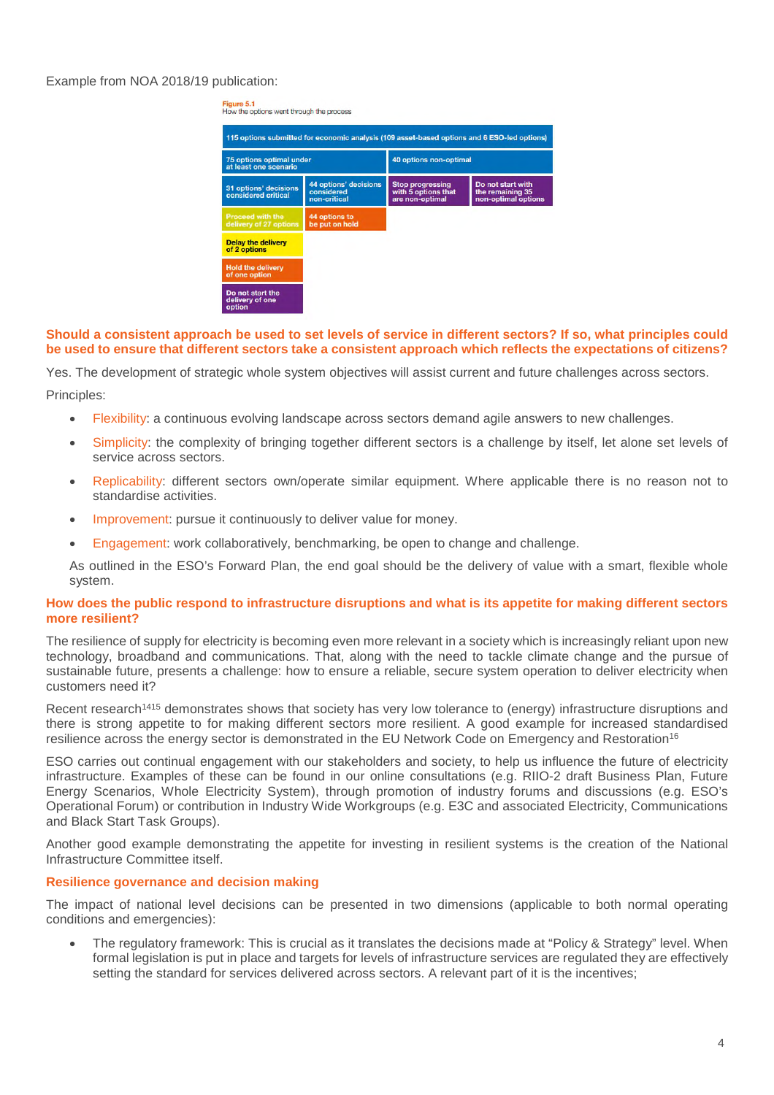## Example from NOA 2018/19 publication:



#### **Should a consistent approach be used to set levels of service in different sectors? If so, what principles could be used to ensure that different sectors take a consistent approach which reflects the expectations of citizens?**

Yes. The development of strategic whole system objectives will assist current and future challenges across sectors.

Principles:

- Flexibility: a continuous evolving landscape across sectors demand agile answers to new challenges.
- Simplicity: the complexity of bringing together different sectors is a challenge by itself, let alone set levels of service across sectors.
- Replicability: different sectors own/operate similar equipment. Where applicable there is no reason not to standardise activities.
- Improvement: pursue it continuously to deliver value for money.
- Engagement: work collaboratively, benchmarking, be open to change and challenge.

As outlined in the ESO's Forward Plan, the end goal should be the delivery of value with a smart, flexible whole system.

#### **How does the public respond to infrastructure disruptions and what is its appetite for making different sectors more resilient?**

The resilience of supply for electricity is becoming even more relevant in a society which is increasingly reliant upon new technology, broadband and communications. That, along with the need to tackle climate change and the pursue of sustainable future, presents a challenge: how to ensure a reliable, secure system operation to deliver electricity when customers need it?

Recent research<sup>1415</sup> demonstrates shows that society has very low tolerance to (energy) infrastructure disruptions and there is strong appetite to for making different sectors more resilient. A good example for increased standardised resilience across the energy sector is demonstrated in the EU Network Code on Emergency and Restoration<sup>16</sup>

ESO carries out continual engagement with our stakeholders and society, to help us influence the future of electricity infrastructure. Examples of these can be found in our online consultations (e.g. RIIO-2 draft Business Plan, Future Energy Scenarios, Whole Electricity System), through promotion of industry forums and discussions (e.g. ESO's Operational Forum) or contribution in Industry Wide Workgroups (e.g. E3C and associated Electricity, Communications and Black Start Task Groups).

Another good example demonstrating the appetite for investing in resilient systems is the creation of the National Infrastructure Committee itself.

#### **Resilience governance and decision making**

The impact of national level decisions can be presented in two dimensions (applicable to both normal operating conditions and emergencies):

 The regulatory framework: This is crucial as it translates the decisions made at "Policy & Strategy" level. When formal legislation is put in place and targets for levels of infrastructure services are regulated they are effectively setting the standard for services delivered across sectors. A relevant part of it is the incentives;